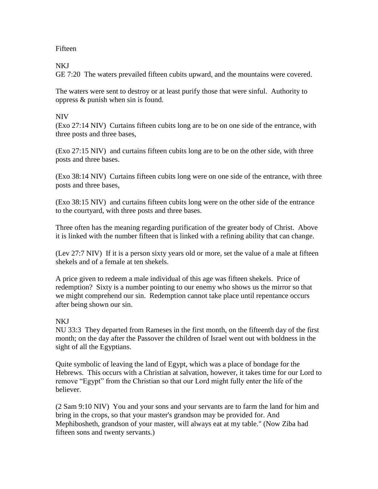## Fifteen

## NKJ

GE 7:20 The waters prevailed fifteen cubits upward, and the mountains were covered.

The waters were sent to destroy or at least purify those that were sinful. Authority to oppress & punish when sin is found.

## NIV

(Exo 27:14 NIV) Curtains fifteen cubits long are to be on one side of the entrance, with three posts and three bases,

(Exo 27:15 NIV) and curtains fifteen cubits long are to be on the other side, with three posts and three bases.

(Exo 38:14 NIV) Curtains fifteen cubits long were on one side of the entrance, with three posts and three bases,

(Exo 38:15 NIV) and curtains fifteen cubits long were on the other side of the entrance to the courtyard, with three posts and three bases.

Three often has the meaning regarding purification of the greater body of Christ. Above it is linked with the number fifteen that is linked with a refining ability that can change.

(Lev 27:7 NIV) If it is a person sixty years old or more, set the value of a male at fifteen shekels and of a female at ten shekels.

A price given to redeem a male individual of this age was fifteen shekels. Price of redemption? Sixty is a number pointing to our enemy who shows us the mirror so that we might comprehend our sin. Redemption cannot take place until repentance occurs after being shown our sin.

## NKJ

NU 33:3 They departed from Rameses in the first month, on the fifteenth day of the first month; on the day after the Passover the children of Israel went out with boldness in the sight of all the Egyptians.

Quite symbolic of leaving the land of Egypt, which was a place of bondage for the Hebrews. This occurs with a Christian at salvation, however, it takes time for our Lord to remove "Egypt" from the Christian so that our Lord might fully enter the life of the believer.

(2 Sam 9:10 NIV) You and your sons and your servants are to farm the land for him and bring in the crops, so that your master's grandson may be provided for. And Mephibosheth, grandson of your master, will always eat at my table." (Now Ziba had fifteen sons and twenty servants.)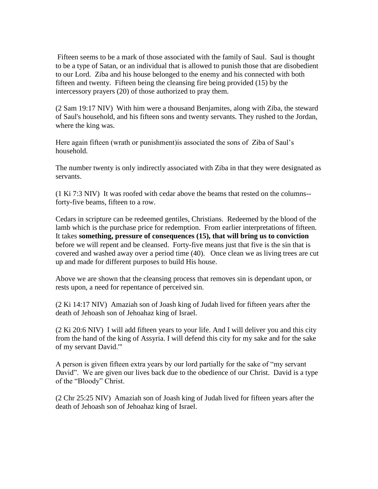Fifteen seems to be a mark of those associated with the family of Saul. Saul is thought to be a type of Satan, or an individual that is allowed to punish those that are disobedient to our Lord. Ziba and his house belonged to the enemy and his connected with both fifteen and twenty. Fifteen being the cleansing fire being provided (15) by the intercessory prayers (20) of those authorized to pray them.

(2 Sam 19:17 NIV) With him were a thousand Benjamites, along with Ziba, the steward of Saul's household, and his fifteen sons and twenty servants. They rushed to the Jordan, where the king was.

Here again fifteen (wrath or punishment)is associated the sons of Ziba of Saul's household.

The number twenty is only indirectly associated with Ziba in that they were designated as servants.

(1 Ki 7:3 NIV) It was roofed with cedar above the beams that rested on the columns- forty-five beams, fifteen to a row.

Cedars in scripture can be redeemed gentiles, Christians. Redeemed by the blood of the lamb which is the purchase price for redemption. From earlier interpretations of fifteen. It takes **something, pressure of consequences (15), that will bring us to conviction** before we will repent and be cleansed. Forty-five means just that five is the sin that is covered and washed away over a period time (40). Once clean we as living trees are cut up and made for different purposes to build His house.

Above we are shown that the cleansing process that removes sin is dependant upon, or rests upon, a need for repentance of perceived sin.

(2 Ki 14:17 NIV) Amaziah son of Joash king of Judah lived for fifteen years after the death of Jehoash son of Jehoahaz king of Israel.

(2 Ki 20:6 NIV) I will add fifteen years to your life. And I will deliver you and this city from the hand of the king of Assyria. I will defend this city for my sake and for the sake of my servant David.'"

A person is given fifteen extra years by our lord partially for the sake of "my servant David". We are given our lives back due to the obedience of our Christ. David is a type of the "Bloody" Christ.

(2 Chr 25:25 NIV) Amaziah son of Joash king of Judah lived for fifteen years after the death of Jehoash son of Jehoahaz king of Israel.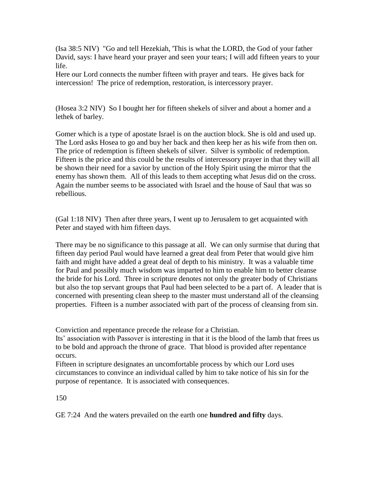(Isa 38:5 NIV) "Go and tell Hezekiah, 'This is what the LORD, the God of your father David, says: I have heard your prayer and seen your tears; I will add fifteen years to your life.

Here our Lord connects the number fifteen with prayer and tears. He gives back for intercession! The price of redemption, restoration, is intercessory prayer.

(Hosea 3:2 NIV) So I bought her for fifteen shekels of silver and about a homer and a lethek of barley.

Gomer which is a type of apostate Israel is on the auction block. She is old and used up. The Lord asks Hosea to go and buy her back and then keep her as his wife from then on. The price of redemption is fifteen shekels of silver. Silver is symbolic of redemption. Fifteen is the price and this could be the results of intercessory prayer in that they will all be shown their need for a savior by unction of the Holy Spirit using the mirror that the enemy has shown them. All of this leads to them accepting what Jesus did on the cross. Again the number seems to be associated with Israel and the house of Saul that was so rebellious.

(Gal 1:18 NIV) Then after three years, I went up to Jerusalem to get acquainted with Peter and stayed with him fifteen days.

There may be no significance to this passage at all. We can only surmise that during that fifteen day period Paul would have learned a great deal from Peter that would give him faith and might have added a great deal of depth to his ministry. It was a valuable time for Paul and possibly much wisdom was imparted to him to enable him to better cleanse the bride for his Lord. Three in scripture denotes not only the greater body of Christians but also the top servant groups that Paul had been selected to be a part of. A leader that is concerned with presenting clean sheep to the master must understand all of the cleansing properties. Fifteen is a number associated with part of the process of cleansing from sin.

Conviction and repentance precede the release for a Christian.

Its' association with Passover is interesting in that it is the blood of the lamb that frees us to be bold and approach the throne of grace. That blood is provided after repentance occurs.

Fifteen in scripture designates an uncomfortable process by which our Lord uses circumstances to convince an individual called by him to take notice of his sin for the purpose of repentance. It is associated with consequences.

150

GE 7:24 And the waters prevailed on the earth one **hundred and fifty** days.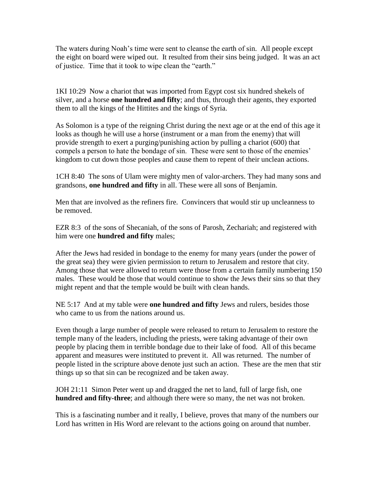The waters during Noah's time were sent to cleanse the earth of sin. All people except the eight on board were wiped out. It resulted from their sins being judged. It was an act of justice. Time that it took to wipe clean the "earth."

1KI 10:29 Now a chariot that was imported from Egypt cost six hundred shekels of silver, and a horse **one hundred and fifty**; and thus, through their agents, they exported them to all the kings of the Hittites and the kings of Syria.

As Solomon is a type of the reigning Christ during the next age or at the end of this age it looks as though he will use a horse (instrument or a man from the enemy) that will provide strength to exert a purging/punishing action by pulling a chariot (600) that compels a person to hate the bondage of sin. These were sent to those of the enemies' kingdom to cut down those peoples and cause them to repent of their unclean actions.

1CH 8:40 The sons of Ulam were mighty men of valor-archers. They had many sons and grandsons, **one hundred and fifty** in all. These were all sons of Benjamin.

Men that are involved as the refiners fire. Convincers that would stir up uncleanness to be removed.

EZR 8:3 of the sons of Shecaniah, of the sons of Parosh, Zechariah; and registered with him were one **hundred and fifty** males;

After the Jews had resided in bondage to the enemy for many years (under the power of the great sea) they were givien permission to return to Jerusalem and restore that city. Among those that were allowed to return were those from a certain family numbering 150 males. These would be those that would continue to show the Jews their sins so that they might repent and that the temple would be built with clean hands.

NE 5:17 And at my table were **one hundred and fifty** Jews and rulers, besides those who came to us from the nations around us.

Even though a large number of people were released to return to Jerusalem to restore the temple many of the leaders, including the priests, were taking advantage of their own people by placing them in terrible bondage due to their lake of food. All of this became apparent and measures were instituted to prevent it. All was returned. The number of people listed in the scripture above denote just such an action. These are the men that stir things up so that sin can be recognized and be taken away.

JOH 21:11 Simon Peter went up and dragged the net to land, full of large fish, one **hundred and fifty-three**; and although there were so many, the net was not broken.

This is a fascinating number and it really, I believe, proves that many of the numbers our Lord has written in His Word are relevant to the actions going on around that number.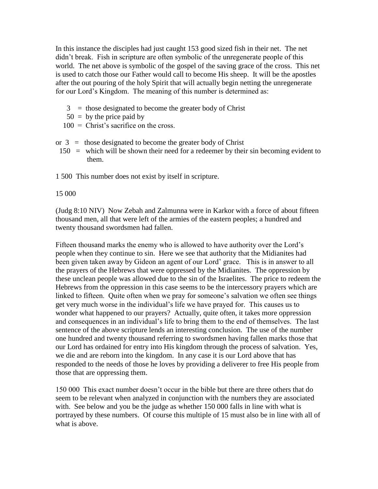In this instance the disciples had just caught 153 good sized fish in their net. The net didn't break. Fish in scripture are often symbolic of the unregenerate people of this world. The net above is symbolic of the gospel of the saving grace of the cross. This net is used to catch those our Father would call to become His sheep. It will be the apostles after the out pouring of the holy Spirit that will actually begin netting the unregenerate for our Lord's Kingdom. The meaning of this number is determined as:

- $3 =$  those designated to become the greater body of Christ
- $50 =$  by the price paid by
- $100 =$  Christ's sacrifice on the cross.
- or  $3 =$  those designated to become the greater body of Christ
- 150 = which will be shown their need for a redeemer by their sin becoming evident to them.

1 500 This number does not exist by itself in scripture.

15 000

(Judg 8:10 NIV) Now Zebah and Zalmunna were in Karkor with a force of about fifteen thousand men, all that were left of the armies of the eastern peoples; a hundred and twenty thousand swordsmen had fallen.

Fifteen thousand marks the enemy who is allowed to have authority over the Lord's people when they continue to sin. Here we see that authority that the Midianites had been given taken away by Gideon an agent of our Lord' grace. This is in answer to all the prayers of the Hebrews that were oppressed by the Midianites. The oppression by these unclean people was allowed due to the sin of the Israelites. The price to redeem the Hebrews from the oppression in this case seems to be the intercessory prayers which are linked to fifteen. Quite often when we pray for someone's salvation we often see things get very much worse in the individual's life we have prayed for. This causes us to wonder what happened to our prayers? Actually, quite often, it takes more oppression and consequences in an individual's life to bring them to the end of themselves. The last sentence of the above scripture lends an interesting conclusion. The use of the number one hundred and twenty thousand referring to swordsmen having fallen marks those that our Lord has ordained for entry into His kingdom through the process of salvation. Yes, we die and are reborn into the kingdom. In any case it is our Lord above that has responded to the needs of those he loves by providing a deliverer to free His people from those that are oppressing them.

150 000 This exact number doesn't occur in the bible but there are three others that do seem to be relevant when analyzed in conjunction with the numbers they are associated with. See below and you be the judge as whether 150 000 falls in line with what is portrayed by these numbers. Of course this multiple of 15 must also be in line with all of what is above.